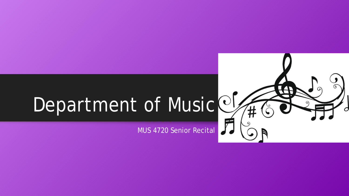## Department of Music <sup>of</sup>

MUS 4720 Senior Recital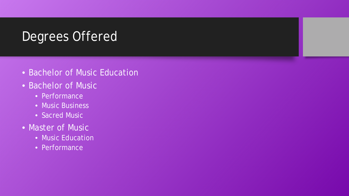### Degrees Offered

- Bachelor of Music Education
- Bachelor of Music
	- Performance
	- Music Business
	- Sacred Music
- Master of Music
	- Music Education
	- Performance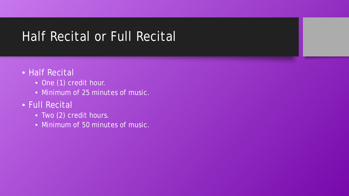#### Half Recital or Full Recital

- Half Recital
	- One (1) credit hour.
	- Minimum of 25 minutes of music.
- Full Recital
	- Two (2) credit hours.
	- Minimum of 50 minutes of music.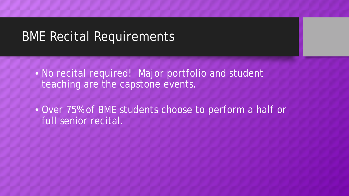#### BME Recital Requirements

- No recital required! Major portfolio and student teaching are the capstone events.
- Over 75% of BME students choose to perform a half or full senior recital.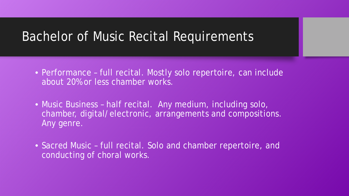#### Bachelor of Music Recital Requirements

- Performance full recital. Mostly solo repertoire, can include about 20% or less chamber works.
- Music Business half recital. Any medium, including solo, chamber, digital/electronic, arrangements and compositions. Any genre.
- Sacred Music full recital. Solo and chamber repertoire, and conducting of choral works.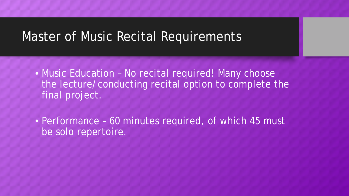#### Master of Music Recital Requirements

- Music Education No recital required! Many choose the lecture/conducting recital option to complete the final project.
- Performance 60 minutes required, of which 45 must be solo repertoire.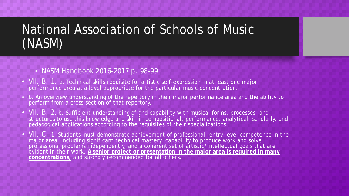#### National Association of Schools of Music (NASM)

- NASM Handbook 2016-2017 p. 98-99
- VII. B. 1. a. Technical skills requisite for artistic self-expression in at least one major performance area at a level appropriate for the particular music concentration.
- b. An overview understanding of the repertory in their major performance area and the ability to perform from a cross-section of that repertory.
- VII. B. 2. b. Sufficient understanding of and capability with musical forms, processes, and structures to use this knowledge and skill in compositional, performance, analytical, scholarly, and pedagogical applications according to the requisites of their specializations.
- VII. C. 1. Students must demonstrate achievement of professional, entry-level competence in the major area, including significant technical mastery, capability to produce work and solve professional problems independently, and a coherent set of artistic/intellectual goals that are evident in their work. **A senior project or presentation in the major area is required in many concentrations,** and strongly recommended for all others.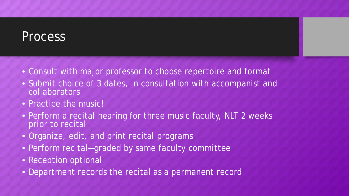#### Process

- Consult with major professor to choose repertoire and format
- Submit choice of 3 dates, in consultation with accompanist and collaborators
- Practice the music!
- Perform a recital hearing for three music faculty, NLT 2 weeks prior to recital
- Organize, edit, and print recital programs
- Perform recital—graded by same faculty committee
- Reception optional
- Department records the recital as a permanent record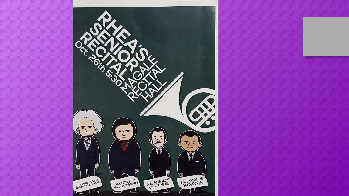

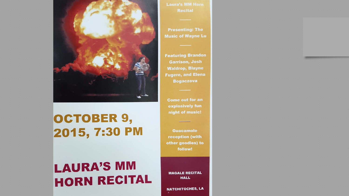

#### OCTOBER 9, 2015, 7:30 PM

#### **LAURA'S MM HORN RECITAL**

**Laura's MM Horn Recital** 

**Presenting: The Music of Wayne Lu** 

**Featuring Brandon** Garrison, Josh **Waldrop, Blayne Fugere, and Elena Bogaczova** 

**Come out for an** explosively fun night of music!

**Guacamole** reception (with other goodies) to follow!

**MAGALE RECITAL HALL** 

**NATCHITOCHES, LA**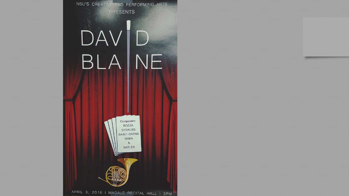NSU'S CREATIVE AND PERFORMING ARTS **PRESENTS** 

# DAVID BLAINE

Composers: **BOZZA STRAUSS** SAINT-SAENS **DUKA**  $\mathbf{g}_i$ **BASLER** APRIL 9, 2016 | MAGALE RECITAL HALL | 3PM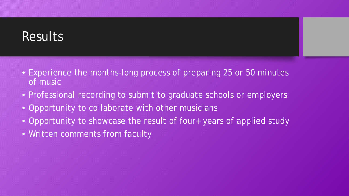#### Results

- Experience the months-long process of preparing 25 or 50 minutes of music
- Professional recording to submit to graduate schools or employers
- Opportunity to collaborate with other musicians
- Opportunity to showcase the result of four+ years of applied study
- Written comments from faculty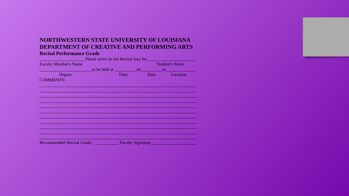#### NORTHWESTERN STATE UNIVERSITY OF LOUISIANA DEPARTMENT OF CREATIVE AND PERFORMING ARTS  $\mathbf{D}$   $\mathbf{L}$   $\mathbf{L}$   $\mathbf{D}$   $\mathbf{C}$   $\mathbf{C}$   $\mathbf{L}$

| Recital Performance Grade    |                                                                                                                                                                                                                                |      |  |                       |          |  |
|------------------------------|--------------------------------------------------------------------------------------------------------------------------------------------------------------------------------------------------------------------------------|------|--|-----------------------|----------|--|
|                              | Please serve on the Recital Jury for                                                                                                                                                                                           |      |  |                       |          |  |
| <b>Faculty Member's Name</b> |                                                                                                                                                                                                                                |      |  | <b>Student's Name</b> |          |  |
|                              | to be held at on on the basic on the basic on the basic on the basic on the basic on the basic on the basic on the basic on the basic on the basic on the basic on the basic on the basic on the basic on the basic on the bas |      |  |                       | in       |  |
| Degree                       |                                                                                                                                                                                                                                | Time |  | Date                  | Location |  |
| <b>COMMENTS:</b>             |                                                                                                                                                                                                                                |      |  |                       |          |  |
|                              |                                                                                                                                                                                                                                |      |  |                       |          |  |
|                              |                                                                                                                                                                                                                                |      |  |                       |          |  |
|                              |                                                                                                                                                                                                                                |      |  |                       |          |  |
|                              |                                                                                                                                                                                                                                |      |  |                       |          |  |
|                              |                                                                                                                                                                                                                                |      |  |                       |          |  |
|                              |                                                                                                                                                                                                                                |      |  |                       |          |  |
|                              |                                                                                                                                                                                                                                |      |  |                       |          |  |
|                              |                                                                                                                                                                                                                                |      |  |                       |          |  |
|                              |                                                                                                                                                                                                                                |      |  |                       |          |  |
|                              |                                                                                                                                                                                                                                |      |  |                       |          |  |
| Recommended Recital Grade:   | <b>Eaculty Signature</b>                                                                                                                                                                                                       |      |  |                       |          |  |

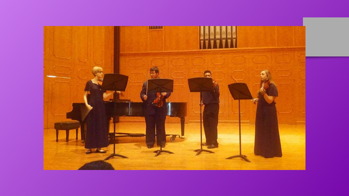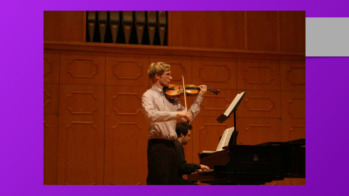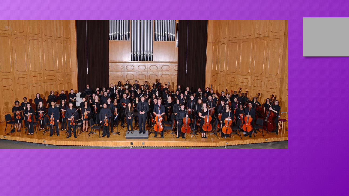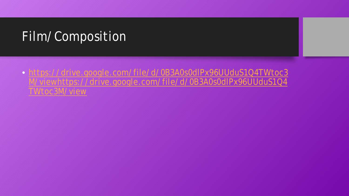#### Film/Composition

• https://drive.google.com/file/d/0B3A0s0dlPx96UUduS1Q4TWtoc3 [M/viewhttps://drive.google.com/file/d/0B3A0s0dlPx96UUduS1Q4](https://drive.google.com/file/d/0B3A0s0dlPx96UUduS1Q4TWtoc3M/viewhttps:/drive.google.com/file/d/0B3A0s0dlPx96UUduS1Q4TWtoc3M/view) TWtoc3M/view